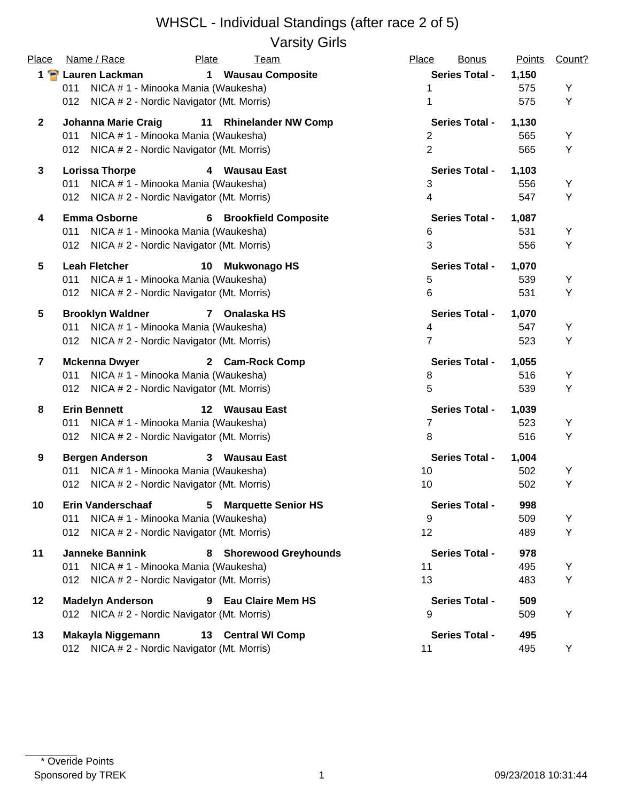#### WHSCL - Individual Standings (after race 2 of 5) Varsity Girls

| Name / Race<br>Plate                 | <b>Team</b>                                                                                                                                                                                                                | Place                                                                                                                                                                                                                                                                                                                                                                                                                                                                                                                                                                                                                                                                                                                                                                                                                                                                                                                                                                                                                                                                                                                                                                                                                                                                                                                                                                        | <b>Bonus</b>                                  | <b>Points</b>                                                                                                                                                                                                                                                                                                              | Count?                                                                                                                        |
|--------------------------------------|----------------------------------------------------------------------------------------------------------------------------------------------------------------------------------------------------------------------------|------------------------------------------------------------------------------------------------------------------------------------------------------------------------------------------------------------------------------------------------------------------------------------------------------------------------------------------------------------------------------------------------------------------------------------------------------------------------------------------------------------------------------------------------------------------------------------------------------------------------------------------------------------------------------------------------------------------------------------------------------------------------------------------------------------------------------------------------------------------------------------------------------------------------------------------------------------------------------------------------------------------------------------------------------------------------------------------------------------------------------------------------------------------------------------------------------------------------------------------------------------------------------------------------------------------------------------------------------------------------------|-----------------------------------------------|----------------------------------------------------------------------------------------------------------------------------------------------------------------------------------------------------------------------------------------------------------------------------------------------------------------------------|-------------------------------------------------------------------------------------------------------------------------------|
| <b>Lauren Lackman</b><br>$\mathbf 1$ |                                                                                                                                                                                                                            |                                                                                                                                                                                                                                                                                                                                                                                                                                                                                                                                                                                                                                                                                                                                                                                                                                                                                                                                                                                                                                                                                                                                                                                                                                                                                                                                                                              |                                               | 1,150                                                                                                                                                                                                                                                                                                                      |                                                                                                                               |
| 011                                  |                                                                                                                                                                                                                            | 1                                                                                                                                                                                                                                                                                                                                                                                                                                                                                                                                                                                                                                                                                                                                                                                                                                                                                                                                                                                                                                                                                                                                                                                                                                                                                                                                                                            |                                               | 575                                                                                                                                                                                                                                                                                                                        | Y                                                                                                                             |
| 012                                  |                                                                                                                                                                                                                            | 1                                                                                                                                                                                                                                                                                                                                                                                                                                                                                                                                                                                                                                                                                                                                                                                                                                                                                                                                                                                                                                                                                                                                                                                                                                                                                                                                                                            |                                               | 575                                                                                                                                                                                                                                                                                                                        | Υ                                                                                                                             |
| <b>Johanna Marie Craig</b><br>11     |                                                                                                                                                                                                                            |                                                                                                                                                                                                                                                                                                                                                                                                                                                                                                                                                                                                                                                                                                                                                                                                                                                                                                                                                                                                                                                                                                                                                                                                                                                                                                                                                                              |                                               | 1,130                                                                                                                                                                                                                                                                                                                      |                                                                                                                               |
| 011                                  |                                                                                                                                                                                                                            | $\overline{2}$                                                                                                                                                                                                                                                                                                                                                                                                                                                                                                                                                                                                                                                                                                                                                                                                                                                                                                                                                                                                                                                                                                                                                                                                                                                                                                                                                               |                                               | 565                                                                                                                                                                                                                                                                                                                        | Υ                                                                                                                             |
| 012                                  |                                                                                                                                                                                                                            | $\overline{2}$                                                                                                                                                                                                                                                                                                                                                                                                                                                                                                                                                                                                                                                                                                                                                                                                                                                                                                                                                                                                                                                                                                                                                                                                                                                                                                                                                               |                                               | 565                                                                                                                                                                                                                                                                                                                        | Υ                                                                                                                             |
|                                      |                                                                                                                                                                                                                            |                                                                                                                                                                                                                                                                                                                                                                                                                                                                                                                                                                                                                                                                                                                                                                                                                                                                                                                                                                                                                                                                                                                                                                                                                                                                                                                                                                              |                                               |                                                                                                                                                                                                                                                                                                                            |                                                                                                                               |
| 011                                  |                                                                                                                                                                                                                            |                                                                                                                                                                                                                                                                                                                                                                                                                                                                                                                                                                                                                                                                                                                                                                                                                                                                                                                                                                                                                                                                                                                                                                                                                                                                                                                                                                              |                                               |                                                                                                                                                                                                                                                                                                                            | Υ                                                                                                                             |
|                                      |                                                                                                                                                                                                                            | $\overline{4}$                                                                                                                                                                                                                                                                                                                                                                                                                                                                                                                                                                                                                                                                                                                                                                                                                                                                                                                                                                                                                                                                                                                                                                                                                                                                                                                                                               |                                               | 547                                                                                                                                                                                                                                                                                                                        | Υ                                                                                                                             |
|                                      |                                                                                                                                                                                                                            |                                                                                                                                                                                                                                                                                                                                                                                                                                                                                                                                                                                                                                                                                                                                                                                                                                                                                                                                                                                                                                                                                                                                                                                                                                                                                                                                                                              |                                               |                                                                                                                                                                                                                                                                                                                            |                                                                                                                               |
|                                      |                                                                                                                                                                                                                            |                                                                                                                                                                                                                                                                                                                                                                                                                                                                                                                                                                                                                                                                                                                                                                                                                                                                                                                                                                                                                                                                                                                                                                                                                                                                                                                                                                              |                                               |                                                                                                                                                                                                                                                                                                                            | Υ                                                                                                                             |
|                                      |                                                                                                                                                                                                                            |                                                                                                                                                                                                                                                                                                                                                                                                                                                                                                                                                                                                                                                                                                                                                                                                                                                                                                                                                                                                                                                                                                                                                                                                                                                                                                                                                                              |                                               |                                                                                                                                                                                                                                                                                                                            | Υ                                                                                                                             |
|                                      |                                                                                                                                                                                                                            |                                                                                                                                                                                                                                                                                                                                                                                                                                                                                                                                                                                                                                                                                                                                                                                                                                                                                                                                                                                                                                                                                                                                                                                                                                                                                                                                                                              |                                               |                                                                                                                                                                                                                                                                                                                            |                                                                                                                               |
|                                      |                                                                                                                                                                                                                            |                                                                                                                                                                                                                                                                                                                                                                                                                                                                                                                                                                                                                                                                                                                                                                                                                                                                                                                                                                                                                                                                                                                                                                                                                                                                                                                                                                              |                                               |                                                                                                                                                                                                                                                                                                                            |                                                                                                                               |
|                                      |                                                                                                                                                                                                                            |                                                                                                                                                                                                                                                                                                                                                                                                                                                                                                                                                                                                                                                                                                                                                                                                                                                                                                                                                                                                                                                                                                                                                                                                                                                                                                                                                                              |                                               |                                                                                                                                                                                                                                                                                                                            | Υ                                                                                                                             |
| 012                                  |                                                                                                                                                                                                                            | 6                                                                                                                                                                                                                                                                                                                                                                                                                                                                                                                                                                                                                                                                                                                                                                                                                                                                                                                                                                                                                                                                                                                                                                                                                                                                                                                                                                            |                                               |                                                                                                                                                                                                                                                                                                                            | Υ                                                                                                                             |
| <b>Brooklyn Waldner</b>              |                                                                                                                                                                                                                            |                                                                                                                                                                                                                                                                                                                                                                                                                                                                                                                                                                                                                                                                                                                                                                                                                                                                                                                                                                                                                                                                                                                                                                                                                                                                                                                                                                              |                                               | 1,070                                                                                                                                                                                                                                                                                                                      |                                                                                                                               |
| 011                                  |                                                                                                                                                                                                                            | 4                                                                                                                                                                                                                                                                                                                                                                                                                                                                                                                                                                                                                                                                                                                                                                                                                                                                                                                                                                                                                                                                                                                                                                                                                                                                                                                                                                            |                                               | 547                                                                                                                                                                                                                                                                                                                        | Υ                                                                                                                             |
| 012                                  |                                                                                                                                                                                                                            | $\overline{7}$                                                                                                                                                                                                                                                                                                                                                                                                                                                                                                                                                                                                                                                                                                                                                                                                                                                                                                                                                                                                                                                                                                                                                                                                                                                                                                                                                               |                                               | 523                                                                                                                                                                                                                                                                                                                        | Υ                                                                                                                             |
| <b>Mckenna Dwyer</b>                 |                                                                                                                                                                                                                            |                                                                                                                                                                                                                                                                                                                                                                                                                                                                                                                                                                                                                                                                                                                                                                                                                                                                                                                                                                                                                                                                                                                                                                                                                                                                                                                                                                              |                                               | 1,055                                                                                                                                                                                                                                                                                                                      |                                                                                                                               |
| 011                                  |                                                                                                                                                                                                                            | 8                                                                                                                                                                                                                                                                                                                                                                                                                                                                                                                                                                                                                                                                                                                                                                                                                                                                                                                                                                                                                                                                                                                                                                                                                                                                                                                                                                            |                                               | 516                                                                                                                                                                                                                                                                                                                        | Υ                                                                                                                             |
|                                      |                                                                                                                                                                                                                            | 5                                                                                                                                                                                                                                                                                                                                                                                                                                                                                                                                                                                                                                                                                                                                                                                                                                                                                                                                                                                                                                                                                                                                                                                                                                                                                                                                                                            |                                               | 539                                                                                                                                                                                                                                                                                                                        | Υ                                                                                                                             |
| <b>Erin Bennett</b><br>12            |                                                                                                                                                                                                                            |                                                                                                                                                                                                                                                                                                                                                                                                                                                                                                                                                                                                                                                                                                                                                                                                                                                                                                                                                                                                                                                                                                                                                                                                                                                                                                                                                                              |                                               |                                                                                                                                                                                                                                                                                                                            |                                                                                                                               |
| 011                                  |                                                                                                                                                                                                                            | $\overline{7}$                                                                                                                                                                                                                                                                                                                                                                                                                                                                                                                                                                                                                                                                                                                                                                                                                                                                                                                                                                                                                                                                                                                                                                                                                                                                                                                                                               |                                               | 523                                                                                                                                                                                                                                                                                                                        | Υ                                                                                                                             |
| 012                                  |                                                                                                                                                                                                                            | 8                                                                                                                                                                                                                                                                                                                                                                                                                                                                                                                                                                                                                                                                                                                                                                                                                                                                                                                                                                                                                                                                                                                                                                                                                                                                                                                                                                            |                                               | 516                                                                                                                                                                                                                                                                                                                        | Y                                                                                                                             |
|                                      |                                                                                                                                                                                                                            |                                                                                                                                                                                                                                                                                                                                                                                                                                                                                                                                                                                                                                                                                                                                                                                                                                                                                                                                                                                                                                                                                                                                                                                                                                                                                                                                                                              |                                               |                                                                                                                                                                                                                                                                                                                            |                                                                                                                               |
|                                      |                                                                                                                                                                                                                            |                                                                                                                                                                                                                                                                                                                                                                                                                                                                                                                                                                                                                                                                                                                                                                                                                                                                                                                                                                                                                                                                                                                                                                                                                                                                                                                                                                              |                                               |                                                                                                                                                                                                                                                                                                                            | Υ                                                                                                                             |
| 012                                  |                                                                                                                                                                                                                            | 10                                                                                                                                                                                                                                                                                                                                                                                                                                                                                                                                                                                                                                                                                                                                                                                                                                                                                                                                                                                                                                                                                                                                                                                                                                                                                                                                                                           |                                               | 502                                                                                                                                                                                                                                                                                                                        | Υ                                                                                                                             |
|                                      |                                                                                                                                                                                                                            |                                                                                                                                                                                                                                                                                                                                                                                                                                                                                                                                                                                                                                                                                                                                                                                                                                                                                                                                                                                                                                                                                                                                                                                                                                                                                                                                                                              |                                               |                                                                                                                                                                                                                                                                                                                            |                                                                                                                               |
|                                      |                                                                                                                                                                                                                            |                                                                                                                                                                                                                                                                                                                                                                                                                                                                                                                                                                                                                                                                                                                                                                                                                                                                                                                                                                                                                                                                                                                                                                                                                                                                                                                                                                              |                                               |                                                                                                                                                                                                                                                                                                                            | Υ                                                                                                                             |
|                                      |                                                                                                                                                                                                                            |                                                                                                                                                                                                                                                                                                                                                                                                                                                                                                                                                                                                                                                                                                                                                                                                                                                                                                                                                                                                                                                                                                                                                                                                                                                                                                                                                                              |                                               |                                                                                                                                                                                                                                                                                                                            | Υ                                                                                                                             |
|                                      |                                                                                                                                                                                                                            |                                                                                                                                                                                                                                                                                                                                                                                                                                                                                                                                                                                                                                                                                                                                                                                                                                                                                                                                                                                                                                                                                                                                                                                                                                                                                                                                                                              |                                               |                                                                                                                                                                                                                                                                                                                            |                                                                                                                               |
|                                      |                                                                                                                                                                                                                            |                                                                                                                                                                                                                                                                                                                                                                                                                                                                                                                                                                                                                                                                                                                                                                                                                                                                                                                                                                                                                                                                                                                                                                                                                                                                                                                                                                              |                                               |                                                                                                                                                                                                                                                                                                                            |                                                                                                                               |
|                                      |                                                                                                                                                                                                                            |                                                                                                                                                                                                                                                                                                                                                                                                                                                                                                                                                                                                                                                                                                                                                                                                                                                                                                                                                                                                                                                                                                                                                                                                                                                                                                                                                                              |                                               |                                                                                                                                                                                                                                                                                                                            | Y                                                                                                                             |
|                                      |                                                                                                                                                                                                                            |                                                                                                                                                                                                                                                                                                                                                                                                                                                                                                                                                                                                                                                                                                                                                                                                                                                                                                                                                                                                                                                                                                                                                                                                                                                                                                                                                                              |                                               |                                                                                                                                                                                                                                                                                                                            | Υ                                                                                                                             |
| <b>Madelyn Anderson</b><br>9         |                                                                                                                                                                                                                            |                                                                                                                                                                                                                                                                                                                                                                                                                                                                                                                                                                                                                                                                                                                                                                                                                                                                                                                                                                                                                                                                                                                                                                                                                                                                                                                                                                              |                                               | 509                                                                                                                                                                                                                                                                                                                        |                                                                                                                               |
|                                      |                                                                                                                                                                                                                            | 9                                                                                                                                                                                                                                                                                                                                                                                                                                                                                                                                                                                                                                                                                                                                                                                                                                                                                                                                                                                                                                                                                                                                                                                                                                                                                                                                                                            |                                               | 509                                                                                                                                                                                                                                                                                                                        | Y                                                                                                                             |
| Makayla Niggemann                    |                                                                                                                                                                                                                            |                                                                                                                                                                                                                                                                                                                                                                                                                                                                                                                                                                                                                                                                                                                                                                                                                                                                                                                                                                                                                                                                                                                                                                                                                                                                                                                                                                              |                                               | 495                                                                                                                                                                                                                                                                                                                        |                                                                                                                               |
|                                      |                                                                                                                                                                                                                            | 11                                                                                                                                                                                                                                                                                                                                                                                                                                                                                                                                                                                                                                                                                                                                                                                                                                                                                                                                                                                                                                                                                                                                                                                                                                                                                                                                                                           |                                               | 495                                                                                                                                                                                                                                                                                                                        | Y                                                                                                                             |
|                                      | <b>Lorissa Thorpe</b><br><b>Emma Osborne</b><br>6<br>011<br>012<br><b>Leah Fletcher</b><br>10<br>011<br><b>Bergen Anderson</b><br><b>Erin Vanderschaaf</b><br>5<br>011<br>012<br><b>Janneke Bannink</b><br>8<br>011<br>012 | <b>Wausau Composite</b><br>NICA # 1 - Minooka Mania (Waukesha)<br>NICA # 2 - Nordic Navigator (Mt. Morris)<br><b>Rhinelander NW Comp</b><br>NICA # 1 - Minooka Mania (Waukesha)<br>NICA # 2 - Nordic Navigator (Mt. Morris)<br>4 Wausau East<br>NICA # 1 - Minooka Mania (Waukesha)<br>012 NICA # 2 - Nordic Navigator (Mt. Morris)<br><b>Brookfield Composite</b><br>NICA # 1 - Minooka Mania (Waukesha)<br>NICA # 2 - Nordic Navigator (Mt. Morris)<br><b>Mukwonago HS</b><br>NICA # 1 - Minooka Mania (Waukesha)<br>NICA # 2 - Nordic Navigator (Mt. Morris)<br>7 Onalaska HS<br>NICA # 1 - Minooka Mania (Waukesha)<br>NICA # 2 - Nordic Navigator (Mt. Morris)<br>2 Cam-Rock Comp<br>NICA # 1 - Minooka Mania (Waukesha)<br>012 NICA # 2 - Nordic Navigator (Mt. Morris)<br>Wausau East<br>NICA # 1 - Minooka Mania (Waukesha)<br>NICA # 2 - Nordic Navigator (Mt. Morris)<br>3 Wausau East<br>011 NICA # 1 - Minooka Mania (Waukesha)<br>NICA # 2 - Nordic Navigator (Mt. Morris)<br><b>Marquette Senior HS</b><br>NICA # 1 - Minooka Mania (Waukesha)<br>NICA # 2 - Nordic Navigator (Mt. Morris)<br><b>Shorewood Greyhounds</b><br>NICA # 1 - Minooka Mania (Waukesha)<br>NICA # 2 - Nordic Navigator (Mt. Morris)<br><b>Eau Claire Mem HS</b><br>012 NICA # 2 - Nordic Navigator (Mt. Morris)<br>13 Central WI Comp<br>012 NICA # 2 - Nordic Navigator (Mt. Morris) | 3<br>6<br>3<br>5<br>10<br>9<br>12<br>11<br>13 | <b>Series Total -</b><br><b>Series Total -</b><br><b>Series Total -</b><br><b>Series Total -</b><br><b>Series Total -</b><br><b>Series Total -</b><br><b>Series Total -</b><br><b>Series Total -</b><br><b>Series Total -</b><br>Series Total -<br><b>Series Total -</b><br><b>Series Total -</b><br><b>Series Total -</b> | 1,103<br>556<br>1,087<br>531<br>556<br>1,070<br>539<br>531<br>1,039<br>1,004<br>502<br>998<br>509<br>489<br>978<br>495<br>483 |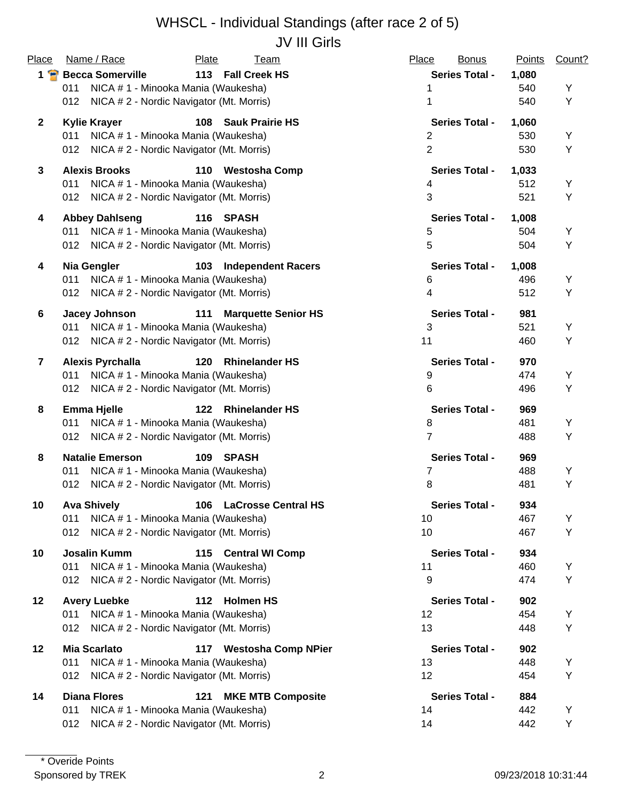## WHSCL - Individual Standings (after race 2 of 5) JV III Girls

| Place                   | Name / Race                                     | Plate | <u>Team</u>                | Place          | <b>Bonus</b>          | Points | Count? |
|-------------------------|-------------------------------------------------|-------|----------------------------|----------------|-----------------------|--------|--------|
| $1$ $\bullet$           | <b>Becca Somerville</b>                         |       | 113 Fall Creek HS          |                | <b>Series Total -</b> | 1,080  |        |
|                         | NICA # 1 - Minooka Mania (Waukesha)<br>011      |       |                            | 1              |                       | 540    | Υ      |
|                         | NICA # 2 - Nordic Navigator (Mt. Morris)<br>012 |       |                            | 1              |                       | 540    | Υ      |
| $\mathbf{2}$            | <b>Kylie Krayer</b>                             |       | 108 Sauk Prairie HS        |                | <b>Series Total -</b> | 1,060  |        |
|                         | NICA # 1 - Minooka Mania (Waukesha)<br>011      |       |                            | $\overline{2}$ |                       | 530    | Υ      |
|                         | NICA # 2 - Nordic Navigator (Mt. Morris)<br>012 |       |                            | $\overline{2}$ |                       | 530    | Υ      |
| $\mathbf{3}$            | <b>Alexis Brooks</b>                            |       | 110 Westosha Comp          |                | <b>Series Total -</b> | 1,033  |        |
|                         | NICA # 1 - Minooka Mania (Waukesha)<br>011      |       |                            | 4              |                       | 512    | Υ      |
|                         | NICA # 2 - Nordic Navigator (Mt. Morris)<br>012 |       |                            | $\mathbf{3}$   |                       | 521    | Υ      |
| 4                       | <b>Abbey Dahlseng</b>                           |       | 116 SPASH                  |                | <b>Series Total -</b> | 1,008  |        |
|                         | NICA # 1 - Minooka Mania (Waukesha)<br>011      |       |                            | 5              |                       | 504    | Υ      |
|                         | NICA # 2 - Nordic Navigator (Mt. Morris)<br>012 |       |                            | $\overline{5}$ |                       | 504    | Υ      |
| 4                       | Nia Gengler                                     |       | 103 Independent Racers     |                | <b>Series Total -</b> | 1,008  |        |
|                         | NICA # 1 - Minooka Mania (Waukesha)<br>011      |       |                            | 6              |                       | 496    | Υ      |
|                         | NICA # 2 - Nordic Navigator (Mt. Morris)<br>012 |       |                            | $\overline{4}$ |                       | 512    | Y      |
| 6                       | <b>Jacey Johnson</b>                            | 111   | <b>Marquette Senior HS</b> |                | <b>Series Total -</b> | 981    |        |
|                         | NICA # 1 - Minooka Mania (Waukesha)<br>011      |       |                            | $\mathbf{3}$   |                       | 521    | Υ      |
|                         | 012 NICA # 2 - Nordic Navigator (Mt. Morris)    |       |                            | 11             |                       | 460    | Υ      |
| $\overline{\mathbf{r}}$ | <b>Alexis Pyrchalla</b>                         | 120   | <b>Rhinelander HS</b>      |                | <b>Series Total -</b> | 970    |        |
|                         | NICA # 1 - Minooka Mania (Waukesha)<br>011      |       |                            | 9              |                       | 474    | Υ      |
|                         | NICA # 2 - Nordic Navigator (Mt. Morris)<br>012 |       |                            | 6              |                       | 496    | Υ      |
| 8                       | <b>Emma Hjelle</b>                              | 122   | <b>Rhinelander HS</b>      |                | <b>Series Total -</b> | 969    |        |
|                         | NICA # 1 - Minooka Mania (Waukesha)<br>011      |       |                            | 8              |                       | 481    | Y      |
|                         | NICA # 2 - Nordic Navigator (Mt. Morris)<br>012 |       |                            | 7              |                       | 488    | Υ      |
| 8                       | <b>Natalie Emerson</b>                          | 109   | SPASH                      |                | <b>Series Total -</b> | 969    |        |
|                         | NICA # 1 - Minooka Mania (Waukesha)<br>011      |       |                            | 7              |                       | 488    | Y      |
|                         | NICA # 2 - Nordic Navigator (Mt. Morris)<br>012 |       |                            | 8              |                       | 481    | Υ      |
| 10                      | <b>Ava Shively</b>                              |       | 106 LaCrosse Central HS    |                | <b>Series Total -</b> | 934    |        |
|                         | NICA # 1 - Minooka Mania (Waukesha)<br>011      |       |                            | 10             |                       | 467    | Υ      |
|                         | NICA # 2 - Nordic Navigator (Mt. Morris)<br>012 |       |                            | 10             |                       | 467    | Υ      |
| 10                      | <b>Josalin Kumm</b>                             |       | 115 Central WI Comp        |                | <b>Series Total -</b> | 934    |        |
|                         | NICA # 1 - Minooka Mania (Waukesha)<br>011      |       |                            | 11             |                       | 460    | Υ      |
|                         | NICA # 2 - Nordic Navigator (Mt. Morris)<br>012 |       |                            | 9              |                       | 474    | Υ      |
| $12 \,$                 | <b>Avery Luebke</b>                             |       | 112 Holmen HS              |                | <b>Series Total -</b> | 902    |        |
|                         | NICA # 1 - Minooka Mania (Waukesha)<br>011      |       |                            | 12             |                       | 454    | Υ      |
|                         | NICA # 2 - Nordic Navigator (Mt. Morris)<br>012 |       |                            | 13             |                       | 448    | Υ      |
| 12                      | <b>Mia Scarlato</b>                             |       | 117 Westosha Comp NPier    |                | <b>Series Total -</b> | 902    |        |
|                         | 011<br>NICA # 1 - Minooka Mania (Waukesha)      |       |                            | 13             |                       | 448    | Υ      |
|                         | NICA # 2 - Nordic Navigator (Mt. Morris)<br>012 |       |                            | 12             |                       | 454    | Υ      |
| 14                      | <b>Diana Flores</b>                             | 121   | <b>MKE MTB Composite</b>   |                | <b>Series Total -</b> | 884    |        |
|                         | 011<br>NICA # 1 - Minooka Mania (Waukesha)      |       |                            | 14             |                       | 442    | Y      |
|                         | NICA # 2 - Nordic Navigator (Mt. Morris)<br>012 |       |                            | 14             |                       | 442    | Y      |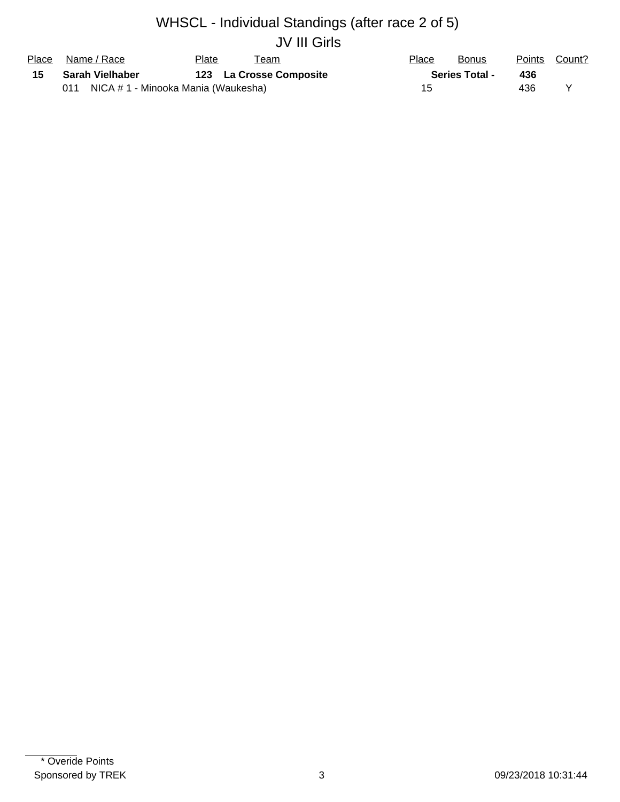# WHSCL - Individual Standings (after race 2 of 5) JV III Girls

| Place | Name / Race                                | Plate<br>leam           | Place | <b>Bonus</b>          | Points | Count? |
|-------|--------------------------------------------|-------------------------|-------|-----------------------|--------|--------|
| 15    | Sarah Vielhaber                            | 123 La Crosse Composite |       | <b>Series Total -</b> | 436    |        |
|       | 011<br>NICA # 1 - Minooka Mania (Waukesha) |                         |       |                       | 436    |        |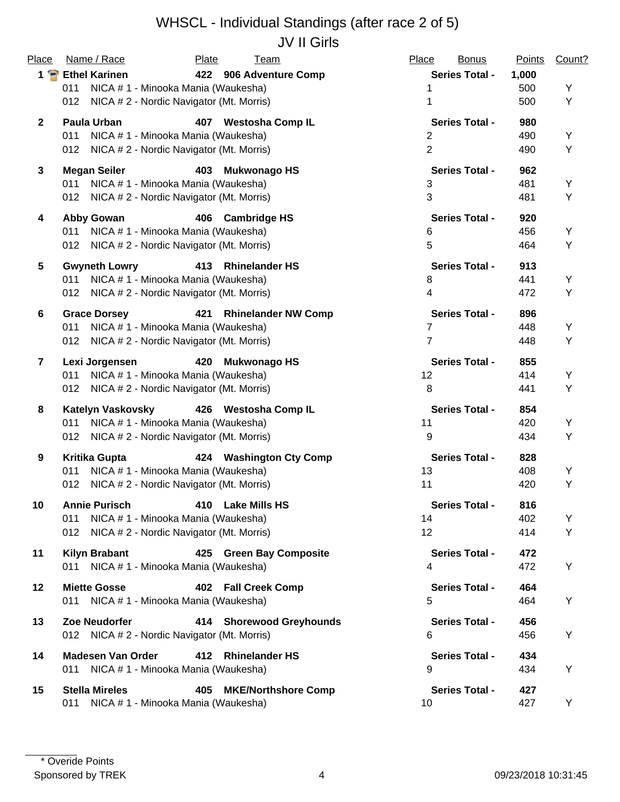## WHSCL - Individual Standings (after race 2 of 5) JV II Girls

| Place          | Name / Race                                     | <b>Plate</b><br><u>Team</u>       | Place<br><b>Bonus</b> | Points<br>Count? |
|----------------|-------------------------------------------------|-----------------------------------|-----------------------|------------------|
| $1$ $\bullet$  | <b>Ethel Karinen</b>                            | 422 906 Adventure Comp            | <b>Series Total -</b> | 1,000            |
|                | NICA # 1 - Minooka Mania (Waukesha)<br>011      |                                   | 1                     | 500<br>Υ         |
|                | 012<br>NICA # 2 - Nordic Navigator (Mt. Morris) |                                   | 1                     | 500<br>Υ         |
| $\mathbf{2}$   | Paula Urban                                     | 407 Westosha Comp IL              | <b>Series Total -</b> | 980              |
|                | NICA # 1 - Minooka Mania (Waukesha)<br>011      |                                   | 2                     | 490<br>Y         |
|                | NICA # 2 - Nordic Navigator (Mt. Morris)<br>012 |                                   | $\overline{2}$        | Υ<br>490         |
| $\mathbf{3}$   | <b>Megan Seiler</b>                             | 403 Mukwonago HS                  | <b>Series Total -</b> | 962              |
|                | NICA # 1 - Minooka Mania (Waukesha)<br>011      |                                   | 3                     | 481<br>Y         |
|                | 012 NICA # 2 - Nordic Navigator (Mt. Morris)    |                                   | 3                     | Υ<br>481         |
| 4              | <b>Abby Gowan</b>                               | 406 Cambridge HS                  | <b>Series Total -</b> | 920              |
|                | 011 NICA # 1 - Minooka Mania (Waukesha)         |                                   | 6                     | 456<br>Y         |
|                | 012 NICA # 2 - Nordic Navigator (Mt. Morris)    |                                   | 5                     | Υ<br>464         |
| 5              | <b>Gwyneth Lowry</b>                            | 413 Rhinelander HS                | <b>Series Total -</b> | 913              |
|                | 011 NICA # 1 - Minooka Mania (Waukesha)         |                                   | 8                     | Υ<br>441         |
|                | NICA # 2 - Nordic Navigator (Mt. Morris)<br>012 |                                   | $\overline{4}$        | Υ<br>472         |
| 6              | <b>Grace Dorsey</b>                             | 421 Rhinelander NW Comp           | <b>Series Total -</b> | 896              |
|                | NICA # 1 - Minooka Mania (Waukesha)<br>011      |                                   | $\overline{7}$        | 448<br>Y         |
|                | NICA # 2 - Nordic Navigator (Mt. Morris)<br>012 |                                   | $\overline{7}$        | Υ<br>448         |
| $\overline{7}$ | Lexi Jorgensen                                  | 420<br><b>Mukwonago HS</b>        | <b>Series Total -</b> | 855              |
|                | NICA # 1 - Minooka Mania (Waukesha)<br>011      |                                   | 12                    | 414<br>Υ         |
|                | NICA # 2 - Nordic Navigator (Mt. Morris)<br>012 |                                   | $\,8\,$               | Υ<br>441         |
| 8              | <b>Katelyn Vaskovsky</b>                        | 426 Westosha Comp IL              | <b>Series Total -</b> | 854              |
|                | NICA # 1 - Minooka Mania (Waukesha)<br>011      |                                   | 11                    | 420<br>Υ         |
|                | 012 NICA # 2 - Nordic Navigator (Mt. Morris)    |                                   | $\boldsymbol{9}$      | Υ<br>434         |
| 9              | <b>Kritika Gupta</b>                            | 424 Washington Cty Comp           | <b>Series Total -</b> | 828              |
|                | NICA # 1 - Minooka Mania (Waukesha)<br>011      |                                   | 13                    | 408<br>Y         |
|                | NICA # 2 - Nordic Navigator (Mt. Morris)<br>012 |                                   | 11                    | Υ<br>420         |
| 10             | <b>Annie Purisch</b>                            | 410 Lake Mills HS                 | <b>Series Total -</b> | 816              |
|                | NICA # 1 - Minooka Mania (Waukesha)<br>011      |                                   | 14                    | 402<br>Y         |
|                | NICA # 2 - Nordic Navigator (Mt. Morris)<br>012 |                                   | 12 <sup>°</sup>       | 414<br>Y         |
| 11             | <b>Kilyn Brabant</b>                            | 425 Green Bay Composite           | <b>Series Total -</b> | 472              |
|                | 011 NICA # 1 - Minooka Mania (Waukesha)         |                                   | 4                     | 472<br>Υ         |
| 12             | <b>Miette Gosse</b>                             | 402 Fall Creek Comp               | <b>Series Total -</b> | 464              |
|                | 011 NICA #1 - Minooka Mania (Waukesha)          |                                   | 5                     | Υ<br>464         |
| 13             | Zoe Neudorfer                                   | 414 Shorewood Greyhounds          | <b>Series Total -</b> | 456              |
|                | 012 NICA # 2 - Nordic Navigator (Mt. Morris)    |                                   | 6                     | 456<br>Y         |
| 14             | <b>Madesen Van Order</b>                        | 412 Rhinelander HS                | <b>Series Total -</b> | 434              |
|                | 011 NICA # 1 - Minooka Mania (Waukesha)         |                                   | 9                     | 434<br>Υ         |
| 15             | <b>Stella Mireles</b>                           | 405<br><b>MKE/Northshore Comp</b> | <b>Series Total -</b> | 427              |
|                | NICA # 1 - Minooka Mania (Waukesha)<br>011      |                                   | 10                    | 427<br>Y         |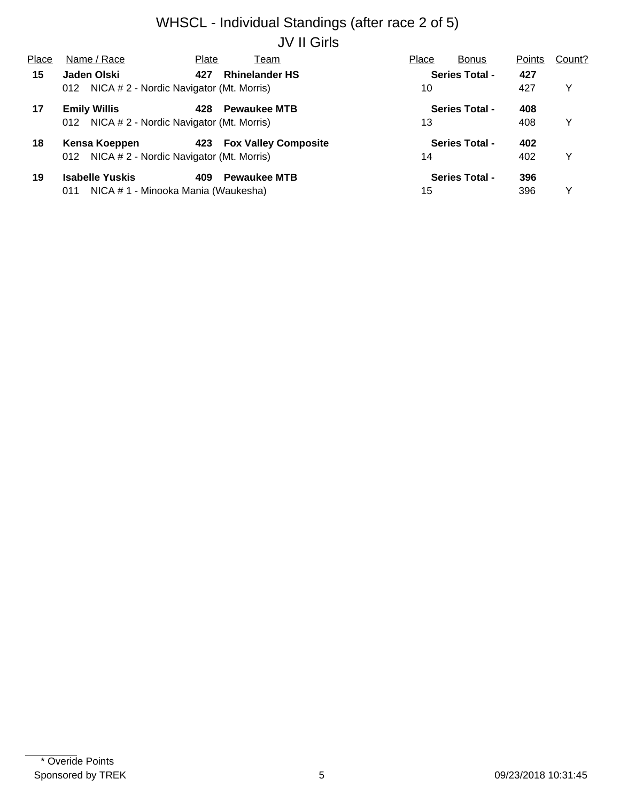## WHSCL - Individual Standings (after race 2 of 5) JV II Girls

| Place | Name / Race                                     | Plate | Team                        | Place | <b>Bonus</b>          | Points | Count? |
|-------|-------------------------------------------------|-------|-----------------------------|-------|-----------------------|--------|--------|
| 15    | Jaden Olski                                     | 427   | <b>Rhinelander HS</b>       |       | <b>Series Total -</b> | 427    |        |
|       | NICA # 2 - Nordic Navigator (Mt. Morris)<br>012 |       |                             | 10    |                       | 427    | Y      |
| 17    | <b>Emily Willis</b>                             | 428   | <b>Pewaukee MTB</b>         |       | <b>Series Total -</b> | 408    |        |
|       | NICA # 2 - Nordic Navigator (Mt. Morris)<br>012 |       |                             | 13    |                       | 408    | Y      |
| 18    | Kensa Koeppen                                   | 423   | <b>Fox Valley Composite</b> |       | <b>Series Total -</b> | 402    |        |
|       | NICA # 2 - Nordic Navigator (Mt. Morris)<br>012 |       |                             | 14    |                       | 402    | Y      |
| 19    | <b>Isabelle Yuskis</b>                          | 409   | <b>Pewaukee MTB</b>         |       | <b>Series Total -</b> | 396    |        |
|       | NICA # 1 - Minooka Mania (Waukesha)<br>011      |       |                             | 15    |                       | 396    | ∨      |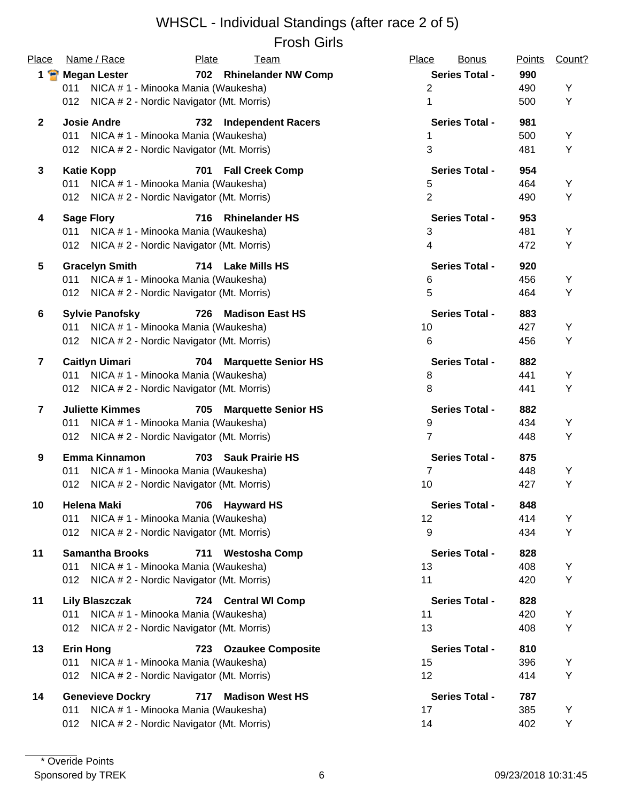#### WHSCL - Individual Standings (after race 2 of 5) Frosh Girls

| <b>Place</b>            | Name / Race                                     | Plate<br><b>Team</b>              | Place<br><b>Bonus</b> | <b>Points</b> | Count? |
|-------------------------|-------------------------------------------------|-----------------------------------|-----------------------|---------------|--------|
| $1$ $\bullet$           | <b>Megan Lester</b>                             | 702 Rhinelander NW Comp           | <b>Series Total -</b> | 990           |        |
|                         | NICA # 1 - Minooka Mania (Waukesha)<br>011      |                                   | $\overline{2}$        | 490           | Y      |
|                         | NICA # 2 - Nordic Navigator (Mt. Morris)<br>012 |                                   | 1                     | 500           | Υ      |
| $\mathbf{2}$            | <b>Josie Andre</b>                              | 732<br><b>Independent Racers</b>  | <b>Series Total -</b> | 981           |        |
|                         | NICA # 1 - Minooka Mania (Waukesha)<br>011      |                                   | 1                     | 500           | Υ      |
|                         | 012 NICA # 2 - Nordic Navigator (Mt. Morris)    |                                   | 3                     | 481           | Υ      |
| $\mathbf{3}$            | <b>Katie Kopp</b>                               | 701<br><b>Fall Creek Comp</b>     | <b>Series Total -</b> | 954           |        |
|                         | NICA # 1 - Minooka Mania (Waukesha)<br>011      |                                   | 5                     | 464           | Y      |
|                         | 012 NICA # 2 - Nordic Navigator (Mt. Morris)    |                                   | $\overline{2}$        | 490           | Υ      |
| 4                       | <b>Sage Flory</b>                               | 716<br><b>Rhinelander HS</b>      | <b>Series Total -</b> | 953           |        |
|                         | NICA # 1 - Minooka Mania (Waukesha)<br>011      |                                   | $\mathbf{3}$          | 481           | Υ      |
|                         | NICA # 2 - Nordic Navigator (Mt. Morris)<br>012 |                                   | 4                     | 472           | Υ      |
| 5                       | <b>Gracelyn Smith</b>                           | 714 Lake Mills HS                 | <b>Series Total -</b> | 920           |        |
|                         | NICA # 1 - Minooka Mania (Waukesha)<br>011      |                                   | 6                     | 456           | Υ      |
|                         | NICA # 2 - Nordic Navigator (Mt. Morris)<br>012 |                                   | 5                     | 464           | Υ      |
| 6                       | <b>Sylvie Panofsky</b>                          | 726<br><b>Madison East HS</b>     | <b>Series Total -</b> | 883           |        |
|                         | NICA # 1 - Minooka Mania (Waukesha)<br>011      |                                   | 10                    | 427           | Υ      |
|                         | NICA # 2 - Nordic Navigator (Mt. Morris)<br>012 |                                   | 6                     | 456           | Υ      |
| $\overline{7}$          | <b>Caitlyn Uimari</b>                           | 704<br><b>Marquette Senior HS</b> | <b>Series Total -</b> | 882           |        |
|                         | NICA # 1 - Minooka Mania (Waukesha)<br>011      |                                   | 8                     | 441           | Υ      |
|                         | 012 NICA # 2 - Nordic Navigator (Mt. Morris)    |                                   | 8                     | 441           | Υ      |
| $\overline{\mathbf{7}}$ | <b>Juliette Kimmes</b>                          | 705<br><b>Marquette Senior HS</b> | <b>Series Total -</b> | 882           |        |
|                         | NICA # 1 - Minooka Mania (Waukesha)<br>011      |                                   | $\boldsymbol{9}$      | 434           | Υ      |
|                         | NICA # 2 - Nordic Navigator (Mt. Morris)<br>012 |                                   | $\overline{7}$        | 448           | Y      |
| 9                       | <b>Emma Kinnamon</b>                            | 703 Sauk Prairie HS               | <b>Series Total -</b> | 875           |        |
|                         | NICA # 1 - Minooka Mania (Waukesha)<br>011      |                                   | $\overline{7}$        | 448           | Υ      |
|                         | NICA # 2 - Nordic Navigator (Mt. Morris)<br>012 |                                   | 10                    | 427           | Υ      |
| 10                      | <b>Helena Maki</b>                              | 706<br><b>Hayward HS</b>          | Series Total -        | 848           |        |
|                         | 011<br>NICA # 1 - Minooka Mania (Waukesha)      |                                   | 12                    | 414           | Υ      |
|                         | 012<br>NICA # 2 - Nordic Navigator (Mt. Morris) |                                   | 9                     | 434           | Υ      |
| 11                      | <b>Samantha Brooks</b>                          | <b>Westosha Comp</b><br>711       | <b>Series Total -</b> | 828           |        |
|                         | NICA #1 - Minooka Mania (Waukesha)<br>011       |                                   | 13                    | 408           | Y      |
|                         | NICA # 2 - Nordic Navigator (Mt. Morris)<br>012 |                                   | 11                    | 420           | Υ      |
| 11                      | <b>Lily Blaszczak</b>                           | 724 Central WI Comp               | <b>Series Total -</b> | 828           |        |
|                         | NICA # 1 - Minooka Mania (Waukesha)<br>011      |                                   | 11                    | 420           | Υ      |
|                         | NICA # 2 - Nordic Navigator (Mt. Morris)<br>012 |                                   | 13                    | 408           | Υ      |
| 13                      | <b>Erin Hong</b>                                | 723 Ozaukee Composite             | <b>Series Total -</b> | 810           |        |
|                         | NICA # 1 - Minooka Mania (Waukesha)<br>011      |                                   | 15                    | 396           | Υ      |
|                         | NICA # 2 - Nordic Navigator (Mt. Morris)<br>012 |                                   | 12                    | 414           | Υ      |
| 14                      | <b>Genevieve Dockry</b>                         | <b>Madison West HS</b><br>717     | <b>Series Total -</b> | 787           |        |
|                         | NICA # 1 - Minooka Mania (Waukesha)<br>011      |                                   | 17                    | 385           | Υ      |
|                         | NICA # 2 - Nordic Navigator (Mt. Morris)<br>012 |                                   | 14                    | 402           | Υ      |